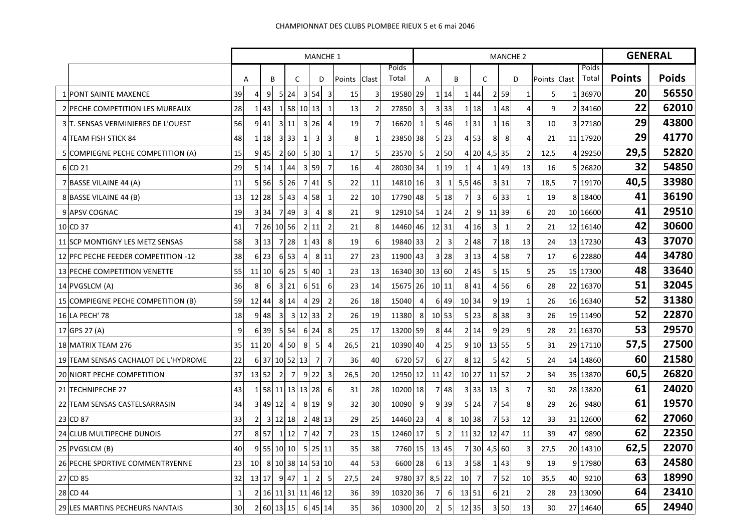|                                      | <b>MANCHE 1</b> |                 |                 |                |                            |                      |                                  |        |                |                |                |                |                            |                 |                           |                | <b>GENERAL</b> |                         |                 |    |                       |               |              |
|--------------------------------------|-----------------|-----------------|-----------------|----------------|----------------------------|----------------------|----------------------------------|--------|----------------|----------------|----------------|----------------|----------------------------|-----------------|---------------------------|----------------|----------------|-------------------------|-----------------|----|-----------------------|---------------|--------------|
|                                      |                 | B<br>A          |                 |                | $\mathsf{C}$               |                      | D                                | Points | Clast          | Poids<br>Total | A              |                | B                          |                 | $\mathsf{C}$              |                | D              |                         | Clast<br>Points |    | <b>Poids</b><br>Total | <b>Points</b> | <b>Poids</b> |
| <b>1 PONT SAINTE MAXENCE</b>         | 39              | 4               | 9               |                | 524                        | $\overline{3}$       | 54<br>3                          | 15     | 3              | 19580 29       |                | 1              | 14                         | 1               | 44                        | $\overline{2}$ | 59             | $\mathbf{1}$            | 5               | 1  | 36970                 | 20            | 56550        |
| 2 PECHE COMPETITION LES MUREAUX      | 28              | $\mathbf{1}$    | 43 <sub>l</sub> |                | 1 58                       | 10 <sup>1</sup>      | 13<br>1                          | 13     | $\overline{2}$ | 27850          | 3              |                | $3 \overline{\smash{)}33}$ |                 | 1 18                      | $\mathbf{1}$   | 48             | $\overline{4}$          | 9               |    | 2 34160               | 22            | 62010        |
| 3 T. SENSAS VERMINIERES DE L'OUEST   | 56              | $\overline{9}$  | 41              |                | 3 11                       | 3                    | 26<br>$\overline{4}$             | 19     | $\overline{7}$ | 16620          | $\mathbf 1$    |                | 5 4 6                      |                 | $1 \overline{\smash{31}}$ | 1              | 16             | $\overline{3}$          | 10              |    | 3 27180               | 29            | 43800        |
| 4 TEAM FISH STICK 84                 | 48              | 1 <sup>1</sup>  | 18              |                | 3 3 3                      | $\mathbf{1}$         | $\overline{3}$<br>3              | 8      | $\mathbf{1}$   | 23850 38       |                |                | $5$   23                   |                 | $4 \overline{\smash{53}}$ | 8              | 8              | $\overline{4}$          | 21              |    | 11 17920              | 29            | 41770        |
| 5 COMPIEGNE PECHE COMPETITION (A)    | 15              |                 | $9$ 45          |                | 2 60                       | 5 <sub>l</sub>       | 30 <sub>l</sub><br>1             | 17     | 5              | 23570 5        |                |                | 2 50                       |                 | 4 20                      | $4,5$ 35       |                | $\overline{2}$          | 12,5            |    | 4 29250               | 29,5          | 52820        |
| 6 CD 21                              | 29              | 5 <sub>l</sub>  | 14              | 1              | 44                         | 59<br>3              | 7                                | 16     | 4              | 28030 34       |                | 1              | 19                         | 1               | $\overline{4}$            | 1              | 49             | 13                      | 16              |    | 5 26820               | 32            | 54850        |
| 7 BASSE VILAINE 44 (A)               | 11              | 5 <sup>1</sup>  | 56              |                | $5 \overline{\smash{)}26}$ | $7^{\circ}$<br>41    | 5                                | 22     | 11             | 14810 16       |                | $\overline{3}$ | 1                          | $5,5$ 46        |                           | 3              | 31             | $\overline{7}$          | 18,5            |    | 7 19170               | 40,5          | 33980        |
| 8 BASSE VILAINE 44 (B)               | 13              |                 | 12 28           |                | $5 \, 43$                  | $\overline{4}$       | 58<br>1                          | 22     | 10             | 17790 48       |                |                | 5 18                       | 7               | 3                         |                | 6 33           | $\mathbf{1}$            | 19              |    | 8 18400               | 41            | 36190        |
| 9 APSV COGNAC                        | 19              | $\overline{3}$  | 34              | 7 49           |                            | 3                    | 8<br>$\overline{4}$              | 21     | 9              | 12910 54       |                | 1              | 24                         | $\overline{2}$  | 9                         | 11             | 39             | 6                       | 20              |    | 10 16600              | 41            | 29510        |
| 10 CD 37                             | 41              |                 | 7 26 10 56      |                |                            | $\overline{2}$<br>11 | $\overline{2}$                   | 21     | 8              | 14460 46       |                |                | 12 31                      |                 | 4 16                      | 3              | $\mathbf{1}$   | $\overline{2}$          | 21              |    | 12 16140              | 42            | 30600        |
| 11 SCP MONTIGNY LES METZ SENSAS      | 58              | $\overline{3}$  | 13              |                | 7 28                       | $\mathbf{1}$         | 43<br>8                          | 19     | 6              | 19840 33       |                | 2              | 3                          |                 | 2 48                      |                | 7 18           | 13                      | 24              |    | 13 17230              | 43            | 37070        |
| 12 PFC PECHE FEEDER COMPETITION -12  | 38              |                 | 6 23            |                | 6 53                       | $\overline{4}$       | 8 1 1                            | 27     | 23             | 11900 43       |                |                | $3 \overline{\smash{)}28}$ | 31              | 13                        | 4              | 58             | $\overline{7}$          | 17              |    | 6 22880               | 44            | 34780        |
| 13 PECHE COMPETITION VENETTE         | 55              |                 | 11 10           |                | 6 25                       | 5                    | 40<br>1                          | 23     | 13             | 16340 30       |                |                | 13 60                      |                 | 2 45                      |                | 515            | 5                       | 25              |    | 15 17300              | 48            | 33640        |
| 14 PVGSLCM (A)                       | 36              | 8               | 6               |                | 3 21                       | 51<br>6              | 6                                | 23     | 14             | 15675 26       |                | 10             | 11                         | 8 <sup>1</sup>  | 41                        | 4              | 56             | 6                       | 28              |    | 22 16370              | 51            | 32045        |
| 15 COMPIEGNE PECHE COMPETITION (B)   | 59              |                 | 12 44           |                | 8 14                       | 29<br>4              | $\overline{2}$                   | 26     | 18             | 15040          | $\overline{4}$ | 6              | 49                         | 10 34           |                           | $\overline{9}$ | 19             | $\mathbf{1}$            | 26              |    | 16 16340              | 52            | 31380        |
| 16 LA PECH' 78                       | 18              |                 | 9 4 8           | 3 <sup>1</sup> | $\overline{\mathbf{3}}$    | 12                   | 33<br>$\overline{2}$             | 26     | 19             | 11380          | 8              |                | 10 53                      |                 | 5 23                      |                | 8 3 8          | $\overline{\mathbf{3}}$ | 26              |    | 19 11490              | 52            | 22870        |
| 17 GPS 27 (A)                        | 9               | 6               | 39              |                | 5 5 4                      | 24<br>6              | 8                                | 25     | 17             | 13200 59       |                |                | 8 4 4                      |                 | 2 14                      | 9              | 29             | 9                       | 28              |    | 21 16370              | 53            | 29570        |
| 18 MATRIX TEAM 276                   | 35              |                 | 11 20           |                | 4 50                       | 8                    | 5<br>4                           | 26,5   | 21             | 10390 40       |                |                | 4 25                       |                 | 9 10                      | 13 55          |                | 5                       | 31              |    | 29 17110              | 57,5          | 27500        |
| 19 TEAM SENSAS CACHALOT DE L'HYDROME | 22              | $6 \mid$        | 37              | 10 52          |                            | 13                   | $\overline{7}$<br>$\overline{7}$ | 36     | 40             | 6720 57        |                |                | 6 27                       |                 | 8 1 2                     | 5              | 42             | 5                       | 24              |    | 14 14860              | 60            | 21580        |
| 20 NIORT PECHE COMPETITION           | 37              |                 | 13 52           | $\overline{2}$ | $\overline{7}$             | 9<br>22              | 3                                | 26,5   | 20             | 12950 12       |                | 11             | 42                         | 10 27           |                           | 11             | 57             | $\overline{2}$          | 34              |    | 35 13870              | 60,5          | 26820        |
| 21 TECHNIPECHE 27                    | 43              |                 | 1 58 11 13      |                |                            | 13 28                | 6                                | 31     | 28             | 10200 18       |                |                | 7 48                       |                 | 3 33                      | 13             | $\overline{3}$ | $\overline{7}$          | 30              |    | 28 13820              | 61            | 24020        |
| 22 TEAM SENSAS CASTELSARRASIN        | 34              | $\overline{3}$  | 49 12           |                | $\overline{4}$             | 8<br>19              | 9                                | 32     | 30             | 10090          | 9              | 9              | 39                         | 5 <sub>l</sub>  | 24                        | $\overline{7}$ | 54             | 8                       | 29              | 26 | 9480                  | 61            | 19570        |
| 23 CD 87                             | 33              | $\overline{2}$  |                 | 3 12 18        |                            | $\overline{2}$       | 48 13                            | 29     | 25             | 14460 23       |                | 4              | 8                          | 10 38           |                           | $\overline{7}$ | 53             | 12                      | 33              | 31 | 12600                 | 62            | 27060        |
| 24 CLUB MULTIPECHE DUNOIS            | 27              |                 | 8 57            |                | $1 \vert 12$               | 42<br>7 <sup>1</sup> | $\overline{7}$                   | 23     | 15             | 12460 17       |                | 5              | $\overline{2}$             | $11$ 32         |                           | 12 47          |                | 11                      | 39              | 47 | 9890                  | 62            | 22350        |
| 25 PVGSLCM (B)                       | 40              | 9               |                 | 55 10 10       |                            | 5                    | 25 11                            | 35     | 38             | 7760 15        |                |                | 13 45                      | $\overline{7}$  | 30 <sup>l</sup>           | 4,5            | 60             | 3                       | 27,5            |    | 20 14310              | 62,5          | 22070        |
| 26 PECHE SPORTIVE COMMENTRYENNE      | 23              | 10 <sup>1</sup> |                 | 8 10 38        |                            | 14                   | 53 10                            | 44     | 53             | 6600 28        |                |                | 6 13                       | 3               | 58                        | 1              | 43             | 9                       | 19              |    | 9 17980               | 63            | 24580        |
| 27 CD 85                             | 32              | 13 <sup>1</sup> | 17              |                | 9 47                       | 1                    | $\overline{2}$<br>5              | 27,5   | 24             | 9780 37        |                |                | $8,5$ 22                   | 10 <sup>1</sup> | $\overline{7}$            |                | 7 52           | 10                      | 35,5            | 40 | 9210                  | 63            | 18990        |
| 28 CD 44                             | $\mathbf{1}$    | $\overline{2}$  |                 | $16$ 11 31     |                            | 11                   | 46 12                            | 36     | 39             | 10320 36       |                | 7              | 6                          | 13 51           |                           | $6 \mid$       | 21             | $\overline{2}$          | 28              |    | 23 13090              | 64            | 23410        |
| 29 LES MARTINS PECHEURS NANTAIS      | 30              |                 | 2 60 13 15      |                |                            | 6 45 14              |                                  | 35     | 36             | 10300 20       |                | $\overline{2}$ | $5\phantom{.0}$            | 12 35           |                           |                | 3 50           | 13                      | 30              |    | 27 14640              | 65            | 24940        |